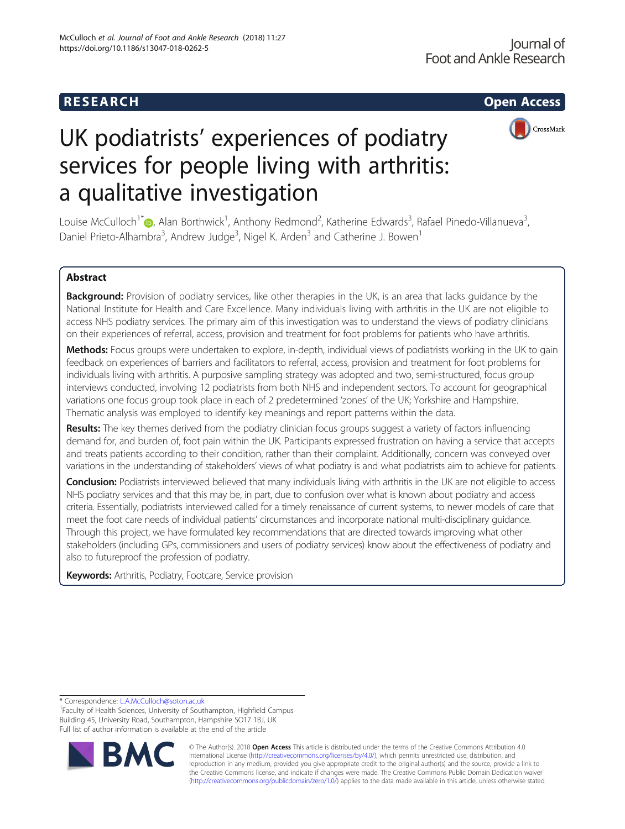# R E S EAR CH Open Access



# UK podiatrists' experiences of podiatry services for people living with arthritis: a qualitative investigation

Louise McCulloch<sup>1[\\*](http://orcid.org/0000-0003-3625-8946)</sup> D, Alan Borthwick<sup>1</sup>, Anthony Redmond<sup>2</sup>, Katherine Edwards<sup>3</sup>, Rafael Pinedo-Villanueva<sup>3</sup> , Daniel Prieto-Alhambra<sup>3</sup>, Andrew Judge<sup>3</sup>, Nigel K. Arden<sup>3</sup> and Catherine J. Bowen<sup>1</sup>

# Abstract

Background: Provision of podiatry services, like other therapies in the UK, is an area that lacks guidance by the National Institute for Health and Care Excellence. Many individuals living with arthritis in the UK are not eligible to access NHS podiatry services. The primary aim of this investigation was to understand the views of podiatry clinicians on their experiences of referral, access, provision and treatment for foot problems for patients who have arthritis.

Methods: Focus groups were undertaken to explore, in-depth, individual views of podiatrists working in the UK to gain feedback on experiences of barriers and facilitators to referral, access, provision and treatment for foot problems for individuals living with arthritis. A purposive sampling strategy was adopted and two, semi-structured, focus group interviews conducted, involving 12 podiatrists from both NHS and independent sectors. To account for geographical variations one focus group took place in each of 2 predetermined 'zones' of the UK; Yorkshire and Hampshire. Thematic analysis was employed to identify key meanings and report patterns within the data.

Results: The key themes derived from the podiatry clinician focus groups suggest a variety of factors influencing demand for, and burden of, foot pain within the UK. Participants expressed frustration on having a service that accepts and treats patients according to their condition, rather than their complaint. Additionally, concern was conveyed over variations in the understanding of stakeholders' views of what podiatry is and what podiatrists aim to achieve for patients.

Conclusion: Podiatrists interviewed believed that many individuals living with arthritis in the UK are not eligible to access NHS podiatry services and that this may be, in part, due to confusion over what is known about podiatry and access criteria. Essentially, podiatrists interviewed called for a timely renaissance of current systems, to newer models of care that meet the foot care needs of individual patients' circumstances and incorporate national multi-disciplinary guidance. Through this project, we have formulated key recommendations that are directed towards improving what other stakeholders (including GPs, commissioners and users of podiatry services) know about the effectiveness of podiatry and also to futureproof the profession of podiatry.

Keywords: Arthritis, Podiatry, Footcare, Service provision

\* Correspondence: [L.A.McCulloch@soton.ac.uk](mailto:L.A.McCulloch@soton.ac.uk) <sup>1</sup>

<sup>1</sup>Faculty of Health Sciences, University of Southampton, Highfield Campus Building 45, University Road, Southampton, Hampshire SO17 1BJ, UK Full list of author information is available at the end of the article



© The Author(s). 2018 Open Access This article is distributed under the terms of the Creative Commons Attribution 4.0 International License [\(http://creativecommons.org/licenses/by/4.0/](http://creativecommons.org/licenses/by/4.0/)), which permits unrestricted use, distribution, and reproduction in any medium, provided you give appropriate credit to the original author(s) and the source, provide a link to the Creative Commons license, and indicate if changes were made. The Creative Commons Public Domain Dedication waiver [\(http://creativecommons.org/publicdomain/zero/1.0/](http://creativecommons.org/publicdomain/zero/1.0/)) applies to the data made available in this article, unless otherwise stated.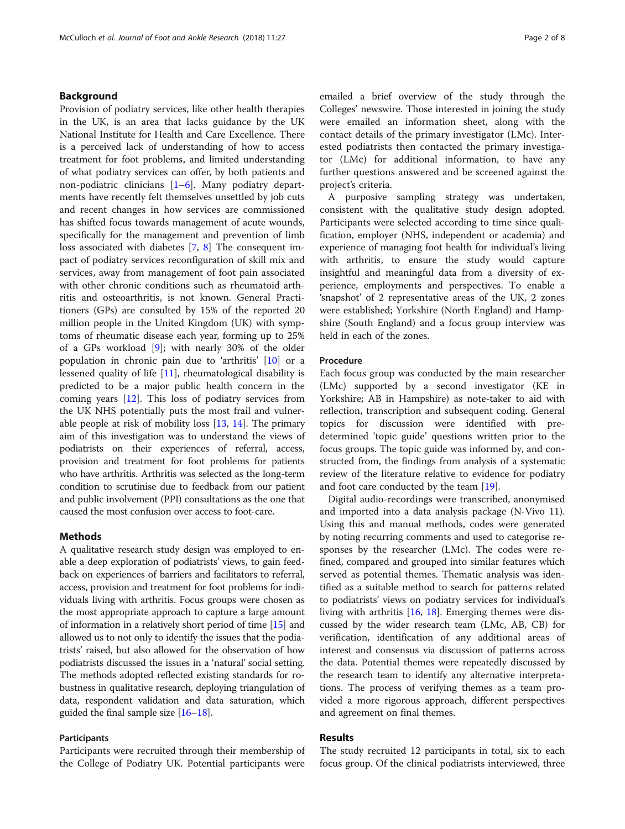# Background

Provision of podiatry services, like other health therapies in the UK, is an area that lacks guidance by the UK National Institute for Health and Care Excellence. There is a perceived lack of understanding of how to access treatment for foot problems, and limited understanding of what podiatry services can offer, by both patients and non-podiatric clinicians [\[1](#page-6-0)–[6](#page-7-0)]. Many podiatry departments have recently felt themselves unsettled by job cuts and recent changes in how services are commissioned has shifted focus towards management of acute wounds, specifically for the management and prevention of limb loss associated with diabetes [[7,](#page-7-0) [8\]](#page-7-0) The consequent impact of podiatry services reconfiguration of skill mix and services, away from management of foot pain associated with other chronic conditions such as rheumatoid arthritis and osteoarthritis, is not known. General Practitioners (GPs) are consulted by 15% of the reported 20 million people in the United Kingdom (UK) with symptoms of rheumatic disease each year, forming up to 25% of a GPs workload [[9](#page-7-0)]; with nearly 30% of the older population in chronic pain due to 'arthritis' [\[10](#page-7-0)] or a lessened quality of life [\[11\]](#page-7-0), rheumatological disability is predicted to be a major public health concern in the coming years [\[12](#page-7-0)]. This loss of podiatry services from the UK NHS potentially puts the most frail and vulnerable people at risk of mobility loss [\[13](#page-7-0), [14](#page-7-0)]. The primary aim of this investigation was to understand the views of podiatrists on their experiences of referral, access, provision and treatment for foot problems for patients who have arthritis. Arthritis was selected as the long-term condition to scrutinise due to feedback from our patient and public involvement (PPI) consultations as the one that caused the most confusion over access to foot-care.

# Methods

A qualitative research study design was employed to enable a deep exploration of podiatrists' views, to gain feedback on experiences of barriers and facilitators to referral, access, provision and treatment for foot problems for individuals living with arthritis. Focus groups were chosen as the most appropriate approach to capture a large amount of information in a relatively short period of time [\[15\]](#page-7-0) and allowed us to not only to identify the issues that the podiatrists' raised, but also allowed for the observation of how podiatrists discussed the issues in a 'natural' social setting. The methods adopted reflected existing standards for robustness in qualitative research, deploying triangulation of data, respondent validation and data saturation, which guided the final sample size [\[16](#page-7-0)–[18\]](#page-7-0).

# Participants

Participants were recruited through their membership of the College of Podiatry UK. Potential participants were emailed a brief overview of the study through the Colleges' newswire. Those interested in joining the study were emailed an information sheet, along with the contact details of the primary investigator (LMc). Interested podiatrists then contacted the primary investigator (LMc) for additional information, to have any further questions answered and be screened against the project's criteria.

A purposive sampling strategy was undertaken, consistent with the qualitative study design adopted. Participants were selected according to time since qualification, employer (NHS, independent or academia) and experience of managing foot health for individual's living with arthritis, to ensure the study would capture insightful and meaningful data from a diversity of experience, employments and perspectives. To enable a 'snapshot' of 2 representative areas of the UK, 2 zones were established; Yorkshire (North England) and Hampshire (South England) and a focus group interview was held in each of the zones.

## Procedure

Each focus group was conducted by the main researcher (LMc) supported by a second investigator (KE in Yorkshire; AB in Hampshire) as note-taker to aid with reflection, transcription and subsequent coding. General topics for discussion were identified with predetermined 'topic guide' questions written prior to the focus groups. The topic guide was informed by, and constructed from, the findings from analysis of a systematic review of the literature relative to evidence for podiatry and foot care conducted by the team [[19\]](#page-7-0).

Digital audio-recordings were transcribed, anonymised and imported into a data analysis package (N-Vivo 11). Using this and manual methods, codes were generated by noting recurring comments and used to categorise responses by the researcher (LMc). The codes were refined, compared and grouped into similar features which served as potential themes. Thematic analysis was identified as a suitable method to search for patterns related to podiatrists' views on podiatry services for individual's living with arthritis [[16,](#page-7-0) [18](#page-7-0)]. Emerging themes were discussed by the wider research team (LMc, AB, CB) for verification, identification of any additional areas of interest and consensus via discussion of patterns across the data. Potential themes were repeatedly discussed by the research team to identify any alternative interpretations. The process of verifying themes as a team provided a more rigorous approach, different perspectives and agreement on final themes.

# Results

The study recruited 12 participants in total, six to each focus group. Of the clinical podiatrists interviewed, three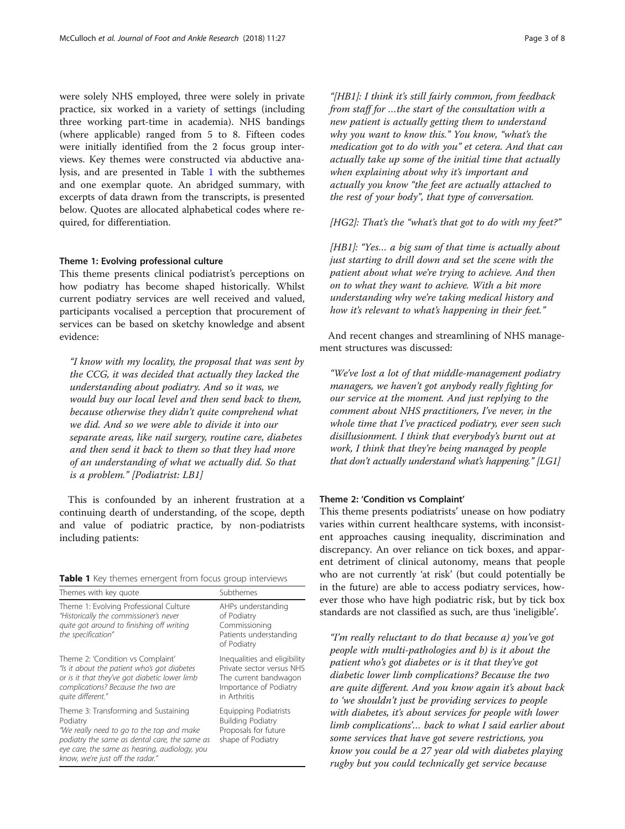were solely NHS employed, three were solely in private practice, six worked in a variety of settings (including three working part-time in academia). NHS bandings (where applicable) ranged from 5 to 8. Fifteen codes were initially identified from the 2 focus group interviews. Key themes were constructed via abductive analysis, and are presented in Table 1 with the subthemes and one exemplar quote. An abridged summary, with excerpts of data drawn from the transcripts, is presented below. Quotes are allocated alphabetical codes where required, for differentiation.

#### Theme 1: Evolving professional culture

This theme presents clinical podiatrist's perceptions on how podiatry has become shaped historically. Whilst current podiatry services are well received and valued, participants vocalised a perception that procurement of services can be based on sketchy knowledge and absent evidence:

"I know with my locality, the proposal that was sent by the CCG, it was decided that actually they lacked the understanding about podiatry. And so it was, we would buy our local level and then send back to them, because otherwise they didn't quite comprehend what we did. And so we were able to divide it into our separate areas, like nail surgery, routine care, diabetes and then send it back to them so that they had more of an understanding of what we actually did. So that is a problem." [Podiatrist: LB1]

This is confounded by an inherent frustration at a continuing dearth of understanding, of the scope, depth and value of podiatric practice, by non-podiatrists including patients:

|  |  |  |  |  |  |  |  | Table 1 Key themes emergent from focus group interviews |
|--|--|--|--|--|--|--|--|---------------------------------------------------------|
|--|--|--|--|--|--|--|--|---------------------------------------------------------|

| Themes with key quote                                                                                                                                                                                                               | Subthemes                                                                                                                    |  |  |
|-------------------------------------------------------------------------------------------------------------------------------------------------------------------------------------------------------------------------------------|------------------------------------------------------------------------------------------------------------------------------|--|--|
| Theme 1: Evolving Professional Culture<br>"Historically the commissioner's never<br>quite got around to finishing off writing<br>the specification"                                                                                 | AHPs understanding<br>of Podiatry<br>Commissioning<br>Patients understanding<br>of Podiatry                                  |  |  |
| Theme 2: 'Condition vs Complaint'<br>"Is it about the patient who's got diabetes<br>or is it that they've got diabetic lower limb<br>complications? Because the two are<br>quite different."                                        | Inequalities and eligibility<br>Private sector versus NHS<br>The current bandwagon<br>Importance of Podiatry<br>in Arthritis |  |  |
| Theme 3: Transforming and Sustaining<br>Podiatry<br>"We really need to go to the top and make<br>podiatry the same as dental care, the same as<br>eye care, the same as hearing, audiology, you<br>know, we're just off the radar." | Equipping Podiatrists<br><b>Building Podiatry</b><br>Proposals for future<br>shape of Podiatry                               |  |  |

"[HB1]: I think it's still fairly common, from feedback from staff for …the start of the consultation with a new patient is actually getting them to understand why you want to know this." You know, "what's the medication got to do with you" et cetera. And that can actually take up some of the initial time that actually when explaining about why it's important and actually you know "the feet are actually attached to the rest of your body", that type of conversation.

 $[HG2]$ : That's the "what's that got to do with my feet?"

[HB1]: "Yes... a big sum of that time is actually about just starting to drill down and set the scene with the patient about what we're trying to achieve. And then on to what they want to achieve. With a bit more understanding why we're taking medical history and how it's relevant to what's happening in their feet."

And recent changes and streamlining of NHS management structures was discussed:

"We've lost a lot of that middle-management podiatry managers, we haven't got anybody really fighting for our service at the moment. And just replying to the comment about NHS practitioners, I've never, in the whole time that I've practiced podiatry, ever seen such disillusionment. I think that everybody's burnt out at work, I think that they're being managed by people that don't actually understand what's happening." [LG1]

#### Theme 2: 'Condition vs Complaint'

This theme presents podiatrists' unease on how podiatry varies within current healthcare systems, with inconsistent approaches causing inequality, discrimination and discrepancy. An over reliance on tick boxes, and apparent detriment of clinical autonomy, means that people who are not currently 'at risk' (but could potentially be in the future) are able to access podiatry services, however those who have high podiatric risk, but by tick box standards are not classified as such, are thus 'ineligible'.

"I'm really reluctant to do that because a) you've got people with multi-pathologies and b) is it about the patient who's got diabetes or is it that they've got diabetic lower limb complications? Because the two are quite different. And you know again it's about back to 'we shouldn't just be providing services to people with diabetes, it's about services for people with lower limb complications'… back to what I said earlier about some services that have got severe restrictions, you know you could be a 27 year old with diabetes playing rugby but you could technically get service because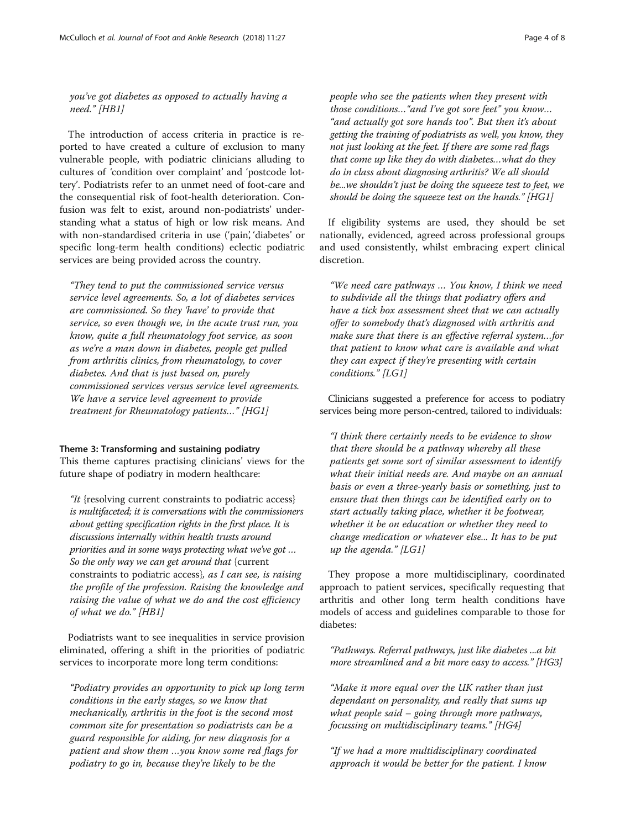you've got diabetes as opposed to actually having a need." [HB1]

The introduction of access criteria in practice is reported to have created a culture of exclusion to many vulnerable people, with podiatric clinicians alluding to cultures of 'condition over complaint' and 'postcode lottery'. Podiatrists refer to an unmet need of foot-care and the consequential risk of foot-health deterioration. Confusion was felt to exist, around non-podiatrists' understanding what a status of high or low risk means. And with non-standardised criteria in use ('pain', 'diabetes' or specific long-term health conditions) eclectic podiatric services are being provided across the country.

"They tend to put the commissioned service versus service level agreements. So, a lot of diabetes services are commissioned. So they 'have' to provide that service, so even though we, in the acute trust run, you know, quite a full rheumatology foot service, as soon as we're a man down in diabetes, people get pulled from arthritis clinics, from rheumatology, to cover diabetes. And that is just based on, purely commissioned services versus service level agreements. We have a service level agreement to provide treatment for Rheumatology patients…" [HG1]

#### Theme 3: Transforming and sustaining podiatry

This theme captures practising clinicians' views for the future shape of podiatry in modern healthcare:

"It {resolving current constraints to podiatric access} is multifaceted; it is conversations with the commissioners about getting specification rights in the first place. It is discussions internally within health trusts around priorities and in some ways protecting what we've got … So the only way we can get around that {current constraints to podiatric access}, as I can see, is raising the profile of the profession. Raising the knowledge and raising the value of what we do and the cost efficiency of what we do." [HB1]

Podiatrists want to see inequalities in service provision eliminated, offering a shift in the priorities of podiatric services to incorporate more long term conditions:

"Podiatry provides an opportunity to pick up long term conditions in the early stages, so we know that mechanically, arthritis in the foot is the second most common site for presentation so podiatrists can be a guard responsible for aiding, for new diagnosis for a patient and show them …you know some red flags for podiatry to go in, because they're likely to be the

people who see the patients when they present with those conditions…"and I've got sore feet" you know… "and actually got sore hands too". But then it's about getting the training of podiatrists as well, you know, they not just looking at the feet. If there are some red flags that come up like they do with diabetes…what do they do in class about diagnosing arthritis? We all should be...we shouldn't just be doing the squeeze test to feet, we should be doing the squeeze test on the hands." [HG1]

If eligibility systems are used, they should be set nationally, evidenced, agreed across professional groups and used consistently, whilst embracing expert clinical discretion.

"We need care pathways … You know, I think we need to subdivide all the things that podiatry offers and have a tick box assessment sheet that we can actually offer to somebody that's diagnosed with arthritis and make sure that there is an effective referral system…for that patient to know what care is available and what they can expect if they're presenting with certain conditions." [LG1]

Clinicians suggested a preference for access to podiatry services being more person-centred, tailored to individuals:

"I think there certainly needs to be evidence to show that there should be a pathway whereby all these patients get some sort of similar assessment to identify what their initial needs are. And maybe on an annual basis or even a three-yearly basis or something, just to ensure that then things can be identified early on to start actually taking place, whether it be footwear, whether it be on education or whether they need to change medication or whatever else... It has to be put up the agenda."  $[LG1]$ 

They propose a more multidisciplinary, coordinated approach to patient services, specifically requesting that arthritis and other long term health conditions have models of access and guidelines comparable to those for diabetes:

"Pathways. Referral pathways, just like diabetes ...a bit more streamlined and a bit more easy to access." [HG3]

"Make it more equal over the UK rather than just dependant on personality, and really that sums up what people said – going through more pathways, focussing on multidisciplinary teams." [HG4]

"If we had a more multidisciplinary coordinated approach it would be better for the patient. I know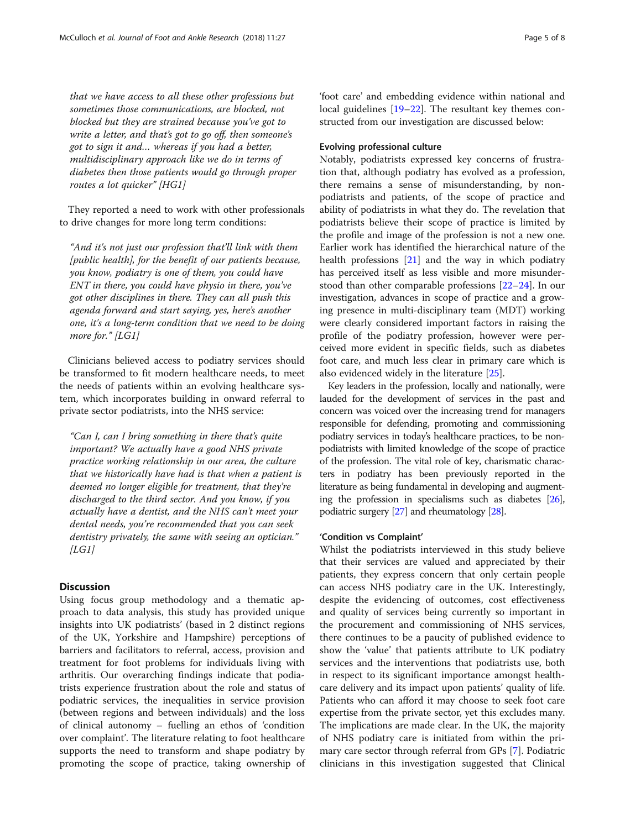that we have access to all these other professions but sometimes those communications, are blocked, not blocked but they are strained because you've got to write a letter, and that's got to go off, then someone's got to sign it and… whereas if you had a better, multidisciplinary approach like we do in terms of diabetes then those patients would go through proper routes a lot quicker" [HG1]

They reported a need to work with other professionals to drive changes for more long term conditions:

"And it's not just our profession that'll link with them [public health], for the benefit of our patients because, you know, podiatry is one of them, you could have ENT in there, you could have physio in there, you've got other disciplines in there. They can all push this agenda forward and start saying, yes, here's another one, it's a long-term condition that we need to be doing more for." [LG1]

Clinicians believed access to podiatry services should be transformed to fit modern healthcare needs, to meet the needs of patients within an evolving healthcare system, which incorporates building in onward referral to private sector podiatrists, into the NHS service:

"Can I, can I bring something in there that's quite important? We actually have a good NHS private practice working relationship in our area, the culture that we historically have had is that when a patient is deemed no longer eligible for treatment, that they're discharged to the third sector. And you know, if you actually have a dentist, and the NHS can't meet your dental needs, you're recommended that you can seek dentistry privately, the same with seeing an optician."  $|LGI|$ 

# **Discussion**

Using focus group methodology and a thematic approach to data analysis, this study has provided unique insights into UK podiatrists' (based in 2 distinct regions of the UK, Yorkshire and Hampshire) perceptions of barriers and facilitators to referral, access, provision and treatment for foot problems for individuals living with arthritis. Our overarching findings indicate that podiatrists experience frustration about the role and status of podiatric services, the inequalities in service provision (between regions and between individuals) and the loss of clinical autonomy – fuelling an ethos of 'condition over complaint'. The literature relating to foot healthcare supports the need to transform and shape podiatry by promoting the scope of practice, taking ownership of

'foot care' and embedding evidence within national and local guidelines [\[19](#page-7-0)–[22\]](#page-7-0). The resultant key themes constructed from our investigation are discussed below:

# Evolving professional culture

Notably, podiatrists expressed key concerns of frustration that, although podiatry has evolved as a profession, there remains a sense of misunderstanding, by nonpodiatrists and patients, of the scope of practice and ability of podiatrists in what they do. The revelation that podiatrists believe their scope of practice is limited by the profile and image of the profession is not a new one. Earlier work has identified the hierarchical nature of the health professions [\[21\]](#page-7-0) and the way in which podiatry has perceived itself as less visible and more misunderstood than other comparable professions [[22](#page-7-0)–[24](#page-7-0)]. In our investigation, advances in scope of practice and a growing presence in multi-disciplinary team (MDT) working were clearly considered important factors in raising the profile of the podiatry profession, however were perceived more evident in specific fields, such as diabetes foot care, and much less clear in primary care which is also evidenced widely in the literature [\[25\]](#page-7-0).

Key leaders in the profession, locally and nationally, were lauded for the development of services in the past and concern was voiced over the increasing trend for managers responsible for defending, promoting and commissioning podiatry services in today's healthcare practices, to be nonpodiatrists with limited knowledge of the scope of practice of the profession. The vital role of key, charismatic characters in podiatry has been previously reported in the literature as being fundamental in developing and augmenting the profession in specialisms such as diabetes  $[26]$  $[26]$ , podiatric surgery [\[27\]](#page-7-0) and rheumatology [\[28\]](#page-7-0).

# 'Condition vs Complaint'

Whilst the podiatrists interviewed in this study believe that their services are valued and appreciated by their patients, they express concern that only certain people can access NHS podiatry care in the UK. Interestingly, despite the evidencing of outcomes, cost effectiveness and quality of services being currently so important in the procurement and commissioning of NHS services, there continues to be a paucity of published evidence to show the 'value' that patients attribute to UK podiatry services and the interventions that podiatrists use, both in respect to its significant importance amongst healthcare delivery and its impact upon patients' quality of life. Patients who can afford it may choose to seek foot care expertise from the private sector, yet this excludes many. The implications are made clear. In the UK, the majority of NHS podiatry care is initiated from within the primary care sector through referral from GPs [[7\]](#page-7-0). Podiatric clinicians in this investigation suggested that Clinical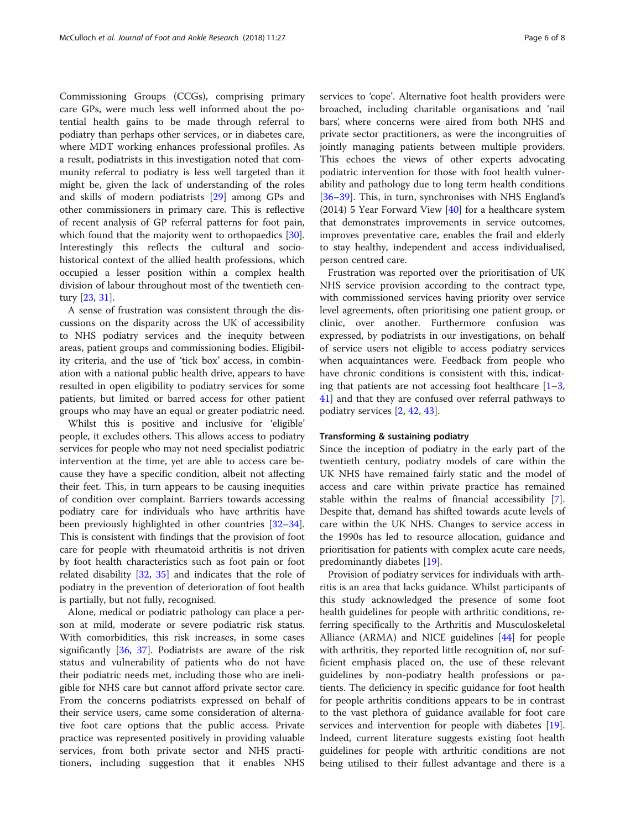Commissioning Groups (CCGs), comprising primary care GPs, were much less well informed about the potential health gains to be made through referral to podiatry than perhaps other services, or in diabetes care, where MDT working enhances professional profiles. As a result, podiatrists in this investigation noted that community referral to podiatry is less well targeted than it might be, given the lack of understanding of the roles and skills of modern podiatrists [\[29\]](#page-7-0) among GPs and other commissioners in primary care. This is reflective of recent analysis of GP referral patterns for foot pain, which found that the majority went to orthopaedics [\[30](#page-7-0)]. Interestingly this reflects the cultural and sociohistorical context of the allied health professions, which occupied a lesser position within a complex health division of labour throughout most of the twentieth century [\[23](#page-7-0), [31](#page-7-0)].

A sense of frustration was consistent through the discussions on the disparity across the UK of accessibility to NHS podiatry services and the inequity between areas, patient groups and commissioning bodies. Eligibility criteria, and the use of 'tick box' access, in combination with a national public health drive, appears to have resulted in open eligibility to podiatry services for some patients, but limited or barred access for other patient groups who may have an equal or greater podiatric need.

Whilst this is positive and inclusive for 'eligible' people, it excludes others. This allows access to podiatry services for people who may not need specialist podiatric intervention at the time, yet are able to access care because they have a specific condition, albeit not affecting their feet. This, in turn appears to be causing inequities of condition over complaint. Barriers towards accessing podiatry care for individuals who have arthritis have been previously highlighted in other countries [[32](#page-7-0)–[34](#page-7-0)]. This is consistent with findings that the provision of foot care for people with rheumatoid arthritis is not driven by foot health characteristics such as foot pain or foot related disability [\[32](#page-7-0), [35](#page-7-0)] and indicates that the role of podiatry in the prevention of deterioration of foot health is partially, but not fully, recognised.

Alone, medical or podiatric pathology can place a person at mild, moderate or severe podiatric risk status. With comorbidities, this risk increases, in some cases significantly [[36](#page-7-0), [37](#page-7-0)]. Podiatrists are aware of the risk status and vulnerability of patients who do not have their podiatric needs met, including those who are ineligible for NHS care but cannot afford private sector care. From the concerns podiatrists expressed on behalf of their service users, came some consideration of alternative foot care options that the public access. Private practice was represented positively in providing valuable services, from both private sector and NHS practitioners, including suggestion that it enables NHS services to 'cope'. Alternative foot health providers were broached, including charitable organisations and 'nail bars', where concerns were aired from both NHS and private sector practitioners, as were the incongruities of jointly managing patients between multiple providers. This echoes the views of other experts advocating podiatric intervention for those with foot health vulnerability and pathology due to long term health conditions [[36](#page-7-0)–[39](#page-7-0)]. This, in turn, synchronises with NHS England's (2014) 5 Year Forward View  $[40]$  $[40]$  for a healthcare system that demonstrates improvements in service outcomes, improves preventative care, enables the frail and elderly to stay healthy, independent and access individualised, person centred care.

Frustration was reported over the prioritisation of UK NHS service provision according to the contract type, with commissioned services having priority over service level agreements, often prioritising one patient group, or clinic, over another. Furthermore confusion was expressed, by podiatrists in our investigations, on behalf of service users not eligible to access podiatry services when acquaintances were. Feedback from people who have chronic conditions is consistent with this, indicating that patients are not accessing foot healthcare [[1](#page-6-0)–[3](#page-7-0), [41\]](#page-7-0) and that they are confused over referral pathways to podiatry services [\[2](#page-7-0), [42](#page-7-0), [43](#page-7-0)].

# Transforming & sustaining podiatry

Since the inception of podiatry in the early part of the twentieth century, podiatry models of care within the UK NHS have remained fairly static and the model of access and care within private practice has remained stable within the realms of financial accessibility [\[7](#page-7-0)]. Despite that, demand has shifted towards acute levels of care within the UK NHS. Changes to service access in the 1990s has led to resource allocation, guidance and prioritisation for patients with complex acute care needs, predominantly diabetes [[19](#page-7-0)].

Provision of podiatry services for individuals with arthritis is an area that lacks guidance. Whilst participants of this study acknowledged the presence of some foot health guidelines for people with arthritic conditions, referring specifically to the Arthritis and Musculoskeletal Alliance (ARMA) and NICE guidelines [\[44\]](#page-7-0) for people with arthritis, they reported little recognition of, nor sufficient emphasis placed on, the use of these relevant guidelines by non-podiatry health professions or patients. The deficiency in specific guidance for foot health for people arthritis conditions appears to be in contrast to the vast plethora of guidance available for foot care services and intervention for people with diabetes [\[19](#page-7-0)]. Indeed, current literature suggests existing foot health guidelines for people with arthritic conditions are not being utilised to their fullest advantage and there is a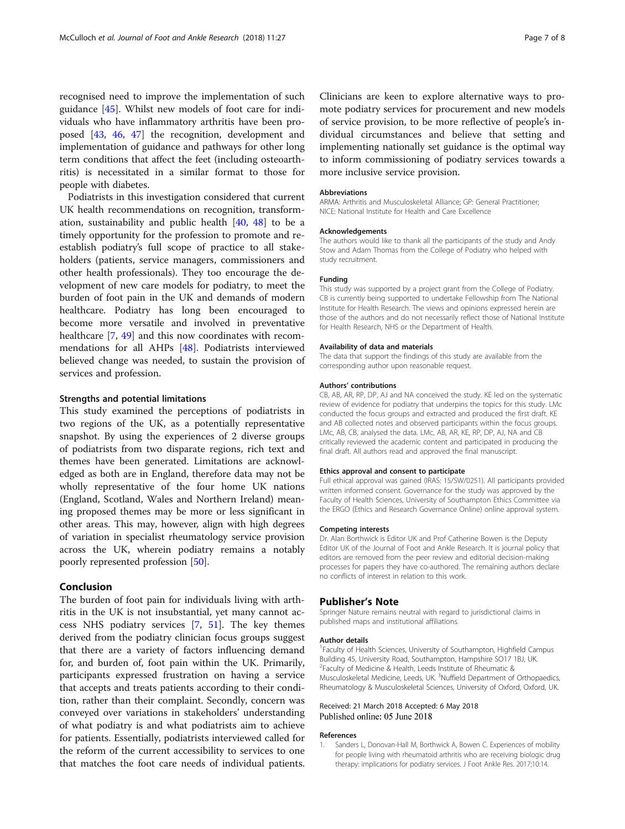<span id="page-6-0"></span>recognised need to improve the implementation of such guidance [[45\]](#page-7-0). Whilst new models of foot care for individuals who have inflammatory arthritis have been proposed [\[43](#page-7-0), [46](#page-7-0), [47\]](#page-7-0) the recognition, development and implementation of guidance and pathways for other long term conditions that affect the feet (including osteoarthritis) is necessitated in a similar format to those for people with diabetes.

Podiatrists in this investigation considered that current UK health recommendations on recognition, transformation, sustainability and public health [[40](#page-7-0), [48](#page-7-0)] to be a timely opportunity for the profession to promote and reestablish podiatry's full scope of practice to all stakeholders (patients, service managers, commissioners and other health professionals). They too encourage the development of new care models for podiatry, to meet the burden of foot pain in the UK and demands of modern healthcare. Podiatry has long been encouraged to become more versatile and involved in preventative healthcare [\[7](#page-7-0), [49](#page-7-0)] and this now coordinates with recommendations for all AHPs [\[48\]](#page-7-0). Podiatrists interviewed believed change was needed, to sustain the provision of services and profession.

## Strengths and potential limitations

This study examined the perceptions of podiatrists in two regions of the UK, as a potentially representative snapshot. By using the experiences of 2 diverse groups of podiatrists from two disparate regions, rich text and themes have been generated. Limitations are acknowledged as both are in England, therefore data may not be wholly representative of the four home UK nations (England, Scotland, Wales and Northern Ireland) meaning proposed themes may be more or less significant in other areas. This may, however, align with high degrees of variation in specialist rheumatology service provision across the UK, wherein podiatry remains a notably poorly represented profession [\[50](#page-7-0)].

## Conclusion

The burden of foot pain for individuals living with arthritis in the UK is not insubstantial, yet many cannot access NHS podiatry services [[7](#page-7-0), [51](#page-7-0)]. The key themes derived from the podiatry clinician focus groups suggest that there are a variety of factors influencing demand for, and burden of, foot pain within the UK. Primarily, participants expressed frustration on having a service that accepts and treats patients according to their condition, rather than their complaint. Secondly, concern was conveyed over variations in stakeholders' understanding of what podiatry is and what podiatrists aim to achieve for patients. Essentially, podiatrists interviewed called for the reform of the current accessibility to services to one that matches the foot care needs of individual patients.

Clinicians are keen to explore alternative ways to promote podiatry services for procurement and new models of service provision, to be more reflective of people's individual circumstances and believe that setting and implementing nationally set guidance is the optimal way to inform commissioning of podiatry services towards a more inclusive service provision.

#### Abbreviations

ARMA: Arthritis and Musculoskeletal Alliance; GP: General Practitioner; NICE: National Institute for Health and Care Excellence

#### Acknowledgements

The authors would like to thank all the participants of the study and Andy Stow and Adam Thomas from the College of Podiatry who helped with study recruitment.

#### Funding

This study was supported by a project grant from the College of Podiatry. CB is currently being supported to undertake Fellowship from The National Institute for Health Research. The views and opinions expressed herein are those of the authors and do not necessarily reflect those of National Institute for Health Research, NHS or the Department of Health.

#### Availability of data and materials

The data that support the findings of this study are available from the corresponding author upon reasonable request.

#### Authors' contributions

CB, AB, AR, RP, DP, AJ and NA conceived the study. KE led on the systematic review of evidence for podiatry that underpins the topics for this study. LMc conducted the focus groups and extracted and produced the first draft. KE and AB collected notes and observed participants within the focus groups. LMc, AB, CB, analysed the data. LMc, AB, AR, KE, RP, DP, AJ, NA and CB critically reviewed the academic content and participated in producing the final draft. All authors read and approved the final manuscript.

#### Ethics approval and consent to participate

Full ethical approval was gained (IRAS: 15/SW/0251). All participants provided written informed consent. Governance for the study was approved by the Faculty of Health Sciences, University of Southampton Ethics Committee via the ERGO (Ethics and Research Governance Online) online approval system.

#### Competing interests

Dr. Alan Borthwick is Editor UK and Prof Catherine Bowen is the Deputy Editor UK of the Journal of Foot and Ankle Research. It is journal policy that editors are removed from the peer review and editorial decision-making processes for papers they have co-authored. The remaining authors declare no conflicts of interest in relation to this work.

#### Publisher's Note

Springer Nature remains neutral with regard to jurisdictional claims in published maps and institutional affiliations.

#### Author details

<sup>1</sup> Faculty of Health Sciences, University of Southampton, Highfield Campus Building 45, University Road, Southampton, Hampshire SO17 1BJ, UK. <sup>2</sup> Faculty of Medicine & Health, Leeds Institute of Rheumatic & Musculoskeletal Medicine, Leeds, UK. <sup>3</sup>Nuffield Department of Orthopaedics Rheumatology & Musculoskeletal Sciences, University of Oxford, Oxford, UK.

#### Received: 21 March 2018 Accepted: 6 May 2018 Published online: 05 June 2018

#### References

Sanders L, Donovan-Hall M, Borthwick A, Bowen C. Experiences of mobility for people living with rheumatoid arthritis who are receiving biologic drug therapy: implications for podiatry services. J Foot Ankle Res. 2017;10:14.